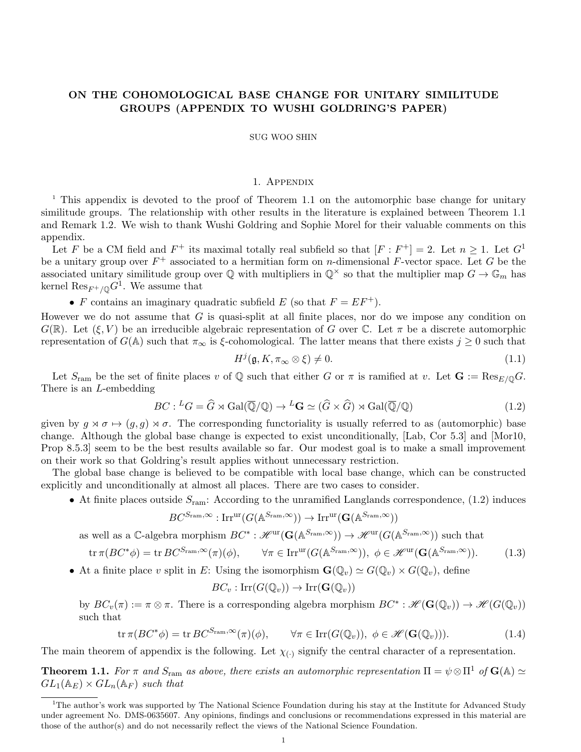## ON THE COHOMOLOGICAL BASE CHANGE FOR UNITARY SIMILITUDE GROUPS (APPENDIX TO WUSHI GOLDRING'S PAPER)

## SUG WOO SHIN

## 1. Appendix

<sup>1</sup> This appendix is devoted to the proof of Theorem 1.1 on the automorphic base change for unitary similitude groups. The relationship with other results in the literature is explained between Theorem 1.1 and Remark 1.2. We wish to thank Wushi Goldring and Sophie Morel for their valuable comments on this appendix.

Let F be a CM field and  $F^+$  its maximal totally real subfield so that  $[F : F^+] = 2$ . Let  $n \geq 1$ . Let  $G^1$ be a unitary group over  $F^+$  associated to a hermitian form on *n*-dimensional F-vector space. Let G be the associated unitary similitude group over  $\mathbb Q$  with multipliers in  $\mathbb Q^{\times}$  so that the multiplier map  $G \to \mathbb G_m$  has kernel  $\mathrm{Res}_{F^+/{\mathbb Q}}G^1$ . We assume that

• F contains an imaginary quadratic subfield E (so that  $F = EF^+$ ).

However we do not assume that  $G$  is quasi-split at all finite places, nor do we impose any condition on  $G(\mathbb{R})$ . Let  $(\xi, V)$  be an irreducible algebraic representation of G over C. Let  $\pi$  be a discrete automorphic representation of  $G(\mathbb{A})$  such that  $\pi_{\infty}$  is  $\xi$ -cohomological. The latter means that there exists  $j \geq 0$  such that

$$
H^j(\mathfrak{g}, K, \pi_\infty \otimes \xi) \neq 0. \tag{1.1}
$$

Let  $S_{\text{ram}}$  be the set of finite places v of Q such that either G or  $\pi$  is ramified at v. Let  $G := \text{Res}_{E/O} G$ . There is an L-embedding

$$
BC: {}^{L}G = \widehat{G} \rtimes \text{Gal}(\overline{\mathbb{Q}}/\mathbb{Q}) \to {}^{L}\mathbf{G} \simeq (\widehat{G} \times \widehat{G}) \rtimes \text{Gal}(\overline{\mathbb{Q}}/\mathbb{Q})
$$
\n(1.2)

given by  $g \times \sigma \mapsto (g, g) \times \sigma$ . The corresponding functoriality is usually referred to as (automorphic) base change. Although the global base change is expected to exist unconditionally, [Lab, Cor 5.3] and [Mor10, Prop 8.5.3] seem to be the best results available so far. Our modest goal is to make a small improvement on their work so that Goldring's result applies without unnecessary restriction.

The global base change is believed to be compatible with local base change, which can be constructed explicitly and unconditionally at almost all places. There are two cases to consider.

• At finite places outside  $S_{\text{ram}}$ : According to the unramified Langlands correspondence, (1.2) induces

$$
BC^{S_{\text{ram}},\infty} : \text{Irr}^{\text{ur}}(G(\mathbb{A}^{S_{\text{ram}},\infty})) \to \text{Irr}^{\text{ur}}(\mathbf{G}(\mathbb{A}^{S_{\text{ram}},\infty}))
$$

as well as a C-algebra morphism  $BC^*: \mathscr{H}^{\text{ur}}(\mathbf{G}(\mathbb{A}^{S_{\text{ram}},\infty})) \to \mathscr{H}^{\text{ur}}(G(\mathbb{A}^{S_{\text{ram}},\infty}))$  such that

$$
\operatorname{tr} \pi(BC^*\phi) = \operatorname{tr} BC^{S_{\text{ram}},\infty}(\pi)(\phi), \qquad \forall \pi \in \operatorname{Irr}^{\text{ur}}(G(\mathbb{A}^{S_{\text{ram}},\infty})), \ \phi \in \mathscr{H}^{\text{ur}}(\mathbf{G}(\mathbb{A}^{S_{\text{ram}},\infty})). \tag{1.3}
$$

• At a finite place v split in E: Using the isomorphism  $\mathbf{G}(\mathbb{Q}_v) \simeq G(\mathbb{Q}_v) \times G(\mathbb{Q}_v)$ , define

$$
BC_v: \mathrm{Irr}(G(\mathbb{Q}_v)) \to \mathrm{Irr}(\mathbf{G}(\mathbb{Q}_v))
$$

by  $BC_v(\pi) := \pi \otimes \pi$ . There is a corresponding algebra morphism  $BC^* : \mathscr{H}(\mathbf{G}(\mathbb{Q}_v)) \to \mathscr{H}(G(\mathbb{Q}_v))$ such that

$$
\operatorname{tr} \pi(BC^*\phi) = \operatorname{tr} BC^{S_{\operatorname{ram}},\infty}(\pi)(\phi), \qquad \forall \pi \in \operatorname{Irr}(G(\mathbb{Q}_v)), \ \phi \in \mathscr{H}(\mathbf{G}(\mathbb{Q}_v))). \tag{1.4}
$$

The main theorem of appendix is the following. Let  $\chi_{(.)}$  signify the central character of a representation.

**Theorem 1.1.** For  $\pi$  and  $S_{\text{ram}}$  as above, there exists an automorphic representation  $\Pi = \psi \otimes \Pi^1$  of  $\mathbf{G}(\mathbb{A}) \simeq$  $GL_1(\mathbb{A}_E) \times GL_n(\mathbb{A}_F)$  such that

<sup>&</sup>lt;sup>1</sup>The author's work was supported by The National Science Foundation during his stay at the Institute for Advanced Study under agreement No. DMS-0635607. Any opinions, findings and conclusions or recommendations expressed in this material are those of the author(s) and do not necessarily reflect the views of the National Science Foundation.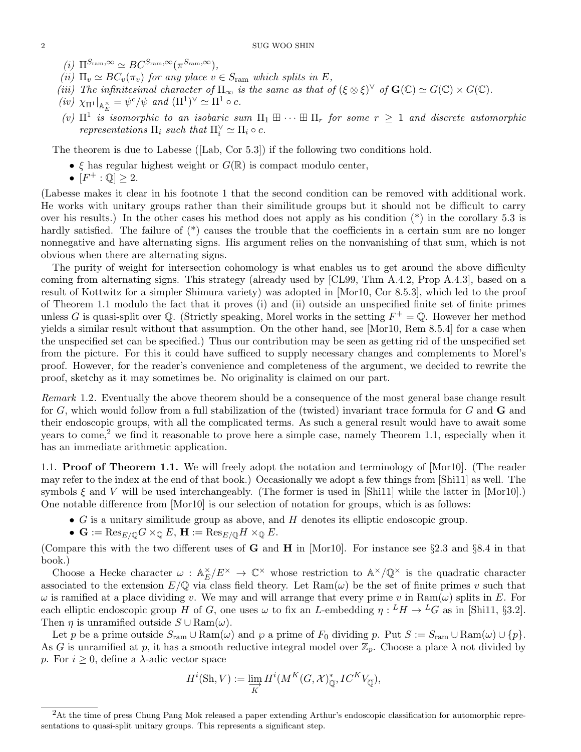- (i)  $\Pi^{S_{\text{ram}}, \infty} \simeq BC^{S_{\text{ram}}, \infty}(\pi^{S_{\text{ram}}, \infty}),$
- (ii)  $\Pi_v \simeq BC_v(\pi_v)$  for any place  $v \in S_{\text{ram}}$  which splits in E,
- (iii) The infinitesimal character of  $\Pi_{\infty}$  is the same as that of  $({\xi \otimes \xi})^{\vee}$  of  $\mathbf{G}(\mathbb{C}) \simeq G(\mathbb{C}) \times G(\mathbb{C})$ .
- $(iv) \chi_{\Pi^1}|_{\mathbb{A}_E^{\times}} = \psi^c/\psi \text{ and } (\Pi^1)^{\vee} \simeq \Pi^1 \circ c.$
- (v)  $\Pi^1$  is isomorphic to an isobaric sum  $\Pi_1 \boxplus \cdots \boxplus \Pi_r$  for some  $r \geq 1$  and discrete automorphic representations  $\Pi_i$  such that  $\Pi_i^{\vee} \simeq \Pi_i \circ c$ .

The theorem is due to Labesse ([Lab, Cor 5.3]) if the following two conditions hold.

- $\xi$  has regular highest weight or  $G(\mathbb{R})$  is compact modulo center,
- $\bullet$   $\overline{[F^+ : \mathbb{Q}]} \geq 2.$

(Labesse makes it clear in his footnote 1 that the second condition can be removed with additional work. He works with unitary groups rather than their similitude groups but it should not be difficult to carry over his results.) In the other cases his method does not apply as his condition (\*) in the corollary 5.3 is hardly satisfied. The failure of  $(*)$  causes the trouble that the coefficients in a certain sum are no longer nonnegative and have alternating signs. His argument relies on the nonvanishing of that sum, which is not obvious when there are alternating signs.

The purity of weight for intersection cohomology is what enables us to get around the above difficulty coming from alternating signs. This strategy (already used by [CL99, Thm A.4.2, Prop A.4.3], based on a result of Kottwitz for a simpler Shimura variety) was adopted in [Mor10, Cor 8.5.3], which led to the proof of Theorem 1.1 modulo the fact that it proves (i) and (ii) outside an unspecified finite set of finite primes unless G is quasi-split over Q. (Strictly speaking, Morel works in the setting  $F^+ = \mathbb{Q}$ . However her method yields a similar result without that assumption. On the other hand, see [Mor10, Rem 8.5.4] for a case when the unspecified set can be specified.) Thus our contribution may be seen as getting rid of the unspecified set from the picture. For this it could have sufficed to supply necessary changes and complements to Morel's proof. However, for the reader's convenience and completeness of the argument, we decided to rewrite the proof, sketchy as it may sometimes be. No originality is claimed on our part.

Remark 1.2. Eventually the above theorem should be a consequence of the most general base change result for  $G$ , which would follow from a full stabilization of the (twisted) invariant trace formula for  $G$  and  $\bf{G}$  and their endoscopic groups, with all the complicated terms. As such a general result would have to await some years to come,<sup>2</sup> we find it reasonable to prove here a simple case, namely Theorem 1.1, especially when it has an immediate arithmetic application.

1.1. Proof of Theorem 1.1. We will freely adopt the notation and terminology of [Mor10]. (The reader may refer to the index at the end of that book.) Occasionally we adopt a few things from [Shi11] as well. The symbols  $\xi$  and V will be used interchangeably. (The former is used in [Shi11] while the latter in [Mor10].) One notable difference from [Mor10] is our selection of notation for groups, which is as follows:

- $\bullet$  G is a unitary similitude group as above, and H denotes its elliptic endoscopic group.
- $\mathbf{G} := \text{Res}_{E/\mathbb{Q}} G \times_{\mathbb{Q}} E$ ,  $\mathbf{H} := \text{Res}_{E/\mathbb{Q}} H \times_{\mathbb{Q}} E$ .

(Compare this with the two different uses of **G** and **H** in [Mor10]. For instance see §2.3 and §8.4 in that book.)

Choose a Hecke character  $\omega : \mathbb{A}_E^{\times}$  $E/E^{\times} \to \mathbb{C}^{\times}$  whose restriction to  $\mathbb{A}^{\times}/\mathbb{Q}^{\times}$  is the quadratic character associated to the extension  $E/\mathbb{Q}$  via class field theory. Let  $\text{Ram}(\omega)$  be the set of finite primes v such that  $\omega$  is ramified at a place dividing v. We may and will arrange that every prime v in Ram( $\omega$ ) splits in E. For each elliptic endoscopic group H of G, one uses  $\omega$  to fix an L-embedding  $\eta: {}^L H \to {}^L G$  as in [Shi11, §3.2]. Then  $\eta$  is unramified outside  $S \cup \text{Ram}(\omega)$ .

Let p be a prime outside  $S_{ram} \cup Ram(\omega)$  and  $\wp$  a prime of  $F_0$  dividing p. Put  $S := S_{ram} \cup Ram(\omega) \cup \{p\}.$ As G is unramified at p, it has a smooth reductive integral model over  $\mathbb{Z}_p$ . Choose a place  $\lambda$  not divided by p. For  $i \geq 0$ , define a  $\lambda$ -adic vector space

$$
H^{i}(\mathrm{Sh}, V) := \varinjlim_{K} H^{i}(M^{K}(G, \mathcal{X})_{\overline{\mathbb{Q}}}^{*}, IC^{K}V_{\overline{\mathbb{Q}}}),
$$

<sup>&</sup>lt;sup>2</sup>At the time of press Chung Pang Mok released a paper extending Arthur's endoscopic classification for automorphic representations to quasi-split unitary groups. This represents a significant step.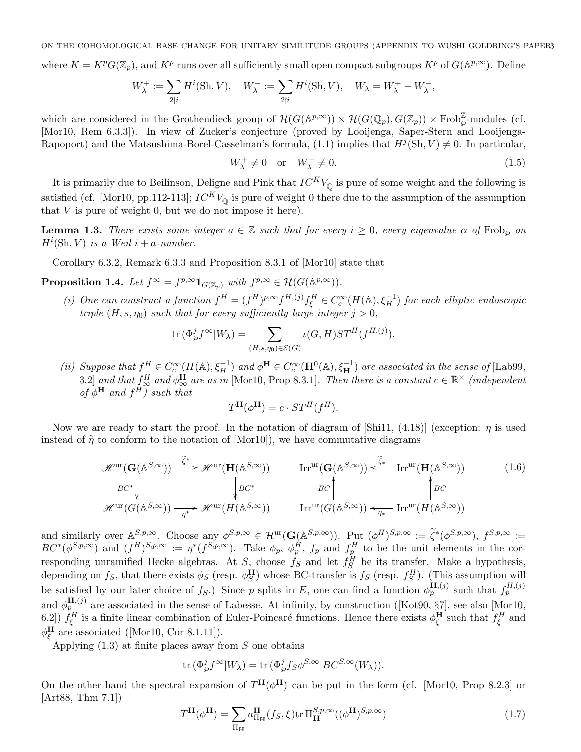ON THE COHOMOLOGICAL BASE CHANGE FOR UNITARY SIMILITUDE GROUPS (APPENDIX TO WUSHI GOLDRING'S PAPER)3

where  $K = K^p G(\mathbb{Z}_p)$ , and  $K^p$  runs over all sufficiently small open compact subgroups  $K^p$  of  $G(\mathbb{A}^{p,\infty})$ . Define

$$
W_{\lambda}^+ := \sum_{2|i} H^i(\mathrm{Sh}, V), \quad W_{\lambda}^- := \sum_{2\nmid i} H^i(\mathrm{Sh}, V), \quad W_{\lambda} = W_{\lambda}^+ - W_{\lambda}^-,
$$

which are considered in the Grothendieck group of  $\mathcal{H}(G(\mathbb{A}^{p,\infty})) \times \mathcal{H}(G(\mathbb{Q}_p), G(\mathbb{Z}_p)) \times \text{Frob}_{\wp}^{\mathbb{Z}}$ -modules (cf. [Mor10, Rem 6.3.3]). In view of Zucker's conjecture (proved by Looijenga, Saper-Stern and Looijenga-Rapoport) and the Matsushima-Borel-Casselman's formula, (1.1) implies that  $H^j(\text{Sh}, V) \neq 0$ . In particular,

$$
W_{\lambda}^{+} \neq 0 \quad \text{or} \quad W_{\lambda}^{-} \neq 0. \tag{1.5}
$$

It is primarily due to Beilinson, Deligne and Pink that  $IC^{K}V_{\overline{0}}$  is pure of some weight and the following is satisfied (cf. [Mor10, pp.112-113];  $IC^{K}V_{\overline{0}}$  is pure of weight 0 there due to the assumption of the assumption that  $V$  is pure of weight 0, but we do not impose it here).

**Lemma 1.3.** There exists some integer  $a \in \mathbb{Z}$  such that for every  $i \geq 0$ , every eigenvalue  $\alpha$  of Frob<sub> $\alpha$ </sub> on  $H^i(\mathrm{Sh}, V)$  is a Weil i + a-number.

Corollary 6.3.2, Remark 6.3.3 and Proposition 8.3.1 of [Mor10] state that

**Proposition 1.4.** Let  $f^{\infty} = f^{p,\infty} \mathbf{1}_{G(\mathbb{Z}_p)}$  with  $f^{p,\infty} \in \mathcal{H}(G(\mathbb{A}^{p,\infty}))$ .

(i) One can construct a function  $f^H = (f^H)^{p,\infty} f^{H,(j)} f^H_\xi \in C_c^\infty(H(\mathbb{A}), \xi_H^{-1})$  for each elliptic endoscopic triple  $(H, s, \eta_0)$  such that for every sufficiently large integer  $j > 0$ ,

$$
\text{tr}\,(\Phi_{\wp}^j f^{\infty} | W_{\lambda}) = \sum_{(H,s,\eta_0) \in \mathcal{E}(G)} \iota(G,H)ST^H(f^{H,(j)}).
$$

(ii) Suppose that  $f_{\text{max}}^H \in C_c^{\infty}(H(\mathbb{A}), \xi_H^{-1})$  and  $\phi^H \in C_c^{\infty}(\mathbf{H}^0(\mathbb{A}), \xi_H^{-1})$  are associated in the sense of [Lab99, 3.2] and that  $f_{\infty}^H$  and  $\phi_{\infty}^H$  are as in [Mor10, Prop 8.3.1]. Then there is a constant  $c \in \mathbb{R}^\times$  (independent of  $\phi^{\mathbf{H}}$  and  $f^H$ ) such that

$$
T^{\mathbf{H}}(\phi^{\mathbf{H}}) = c \cdot ST^H(f^H).
$$

Now we are ready to start the proof. In the notation of diagram of [Shi11,  $(4.18)$ ] (exception:  $\eta$  is used instead of  $\tilde{\eta}$  to conform to the notation of [Mor10]), we have commutative diagrams

$$
\mathcal{H}^{\mathrm{ur}}(\mathbf{G}(\mathbb{A}^{S,\infty})) \xrightarrow{\tilde{\zeta}^*} \mathcal{H}^{\mathrm{ur}}(\mathbf{H}(\mathbb{A}^{S,\infty})) \qquad \text{Irr}^{\mathrm{ur}}(\mathbf{G}(\mathbb{A}^{S,\infty})) \xleftarrow{\tilde{\zeta}_*} \text{Irr}^{\mathrm{ur}}(\mathbf{H}(\mathbb{A}^{S,\infty}))
$$
(1.6)  
\n
$$
BC^* \qquad BC^* \qquad BC \qquad BC \qquad BC
$$
\n
$$
\mathcal{H}^{\mathrm{ur}}(G(\mathbb{A}^{S,\infty})) \xrightarrow{\eta^*} \mathcal{H}^{\mathrm{ur}}(H(\mathbb{A}^{S,\infty})) \qquad \text{Irr}^{\mathrm{ur}}(G(\mathbb{A}^{S,\infty})) \xleftarrow{\tilde{\zeta}_*} \text{Irr}^{\mathrm{ur}}(H(\mathbb{A}^{S,\infty}))
$$

and similarly over  $\mathbb{A}^{S,p,\infty}$ . Choose any  $\phi^{S,p,\infty} \in \mathcal{H}^{\text{ur}}(\mathbf{G}(\mathbb{A}^{S,p,\infty}))$ . Put  $(\phi^H)^{S,p,\infty} := \widetilde{\zeta}^*(\phi^{S,p,\infty})$ ,  $f^{S,p,\infty} := \widetilde{\zeta}^*(\phi^{S,p,\infty})$  $BC^*(\phi^{S,p,\infty})$  and  $(f^H)^{S,p,\infty} := \eta^*(f^{S,p,\infty})$ . Take  $\phi_p$ ,  $\phi_p^H$ ,  $f_p$  and  $f_p^H$  to be the unit elements in the corresponding unramified Hecke algebras. At  $S_1$  choose  $f_S$  and let  $f_S^H$  be its transfer. Make a hypothesis, depending on  $f_S$ , that there exists  $\phi_S$  (resp.  $\phi_S^{\mathbf{H}}$ ) whose BC-transfer is  $f_S$  (resp.  $f_S^H$ ). (This assumption will be satisfied by our later choice of fs.) Since p splits in E, one can find a function  $\phi_p^{\mathbf{H},(j)}$  such that  $f_p^{H,(j)}$ and  $\phi_p^{\mathbf{H},(j)}$  are associated in the sense of Labesse. At infinity, by construction ([Kot90, §7], see also [Mor10, 6.2])  $f_{\xi}^H$  is a finite linear combination of Euler-Poincaré functions. Hence there exists  $\phi_{\xi}^H$  such that  $f_{\xi}^H$  and  $\phi_{\xi}^{\mathbf{H}}$  are associated ([Mor10, Cor 8.1.11]).

Applying  $(1.3)$  at finite places away from S one obtains

$$
\text{tr}\, (\Phi_{\wp}^j f^\infty | W_\lambda) = \text{tr}\, (\Phi_{\wp}^j f_S \phi^{S, \infty} | B C^{S, \infty} (W_\lambda)).
$$

On the other hand the spectral expansion of  $T^{\rm H}(\phi^{\rm H})$  can be put in the form (cf. [Mor10, Prop 8.2.3] or [Art88, Thm 7.1])

$$
T^{\mathbf{H}}(\phi^{\mathbf{H}}) = \sum_{\Pi_{\mathbf{H}}} a_{\Pi_{\mathbf{H}}}^{\mathbf{H}}(f_S, \xi) \text{tr} \Pi_{\mathbf{H}}^{S, p, \infty}((\phi^{\mathbf{H}})^{S, p, \infty})
$$
(1.7)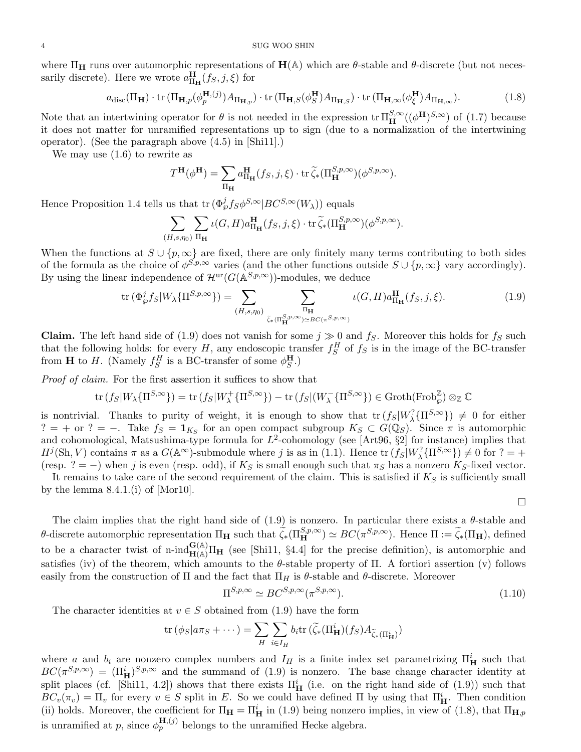where  $\Pi_H$  runs over automorphic representations of  $H(A)$  which are  $\theta$ -stable and  $\theta$ -discrete (but not necessarily discrete). Here we wrote  $a_{\Pi_{\mathbf{H}}}^{\mathbf{H}}(f_S, j, \xi)$  for

$$
a_{\text{disc}}(\Pi_{\mathbf{H}}) \cdot \text{tr} \left( \Pi_{\mathbf{H},p}(\phi_p^{\mathbf{H},(j)}) A_{\Pi_{\mathbf{H},p}} \right) \cdot \text{tr} \left( \Pi_{\mathbf{H},S}(\phi_S^{\mathbf{H}}) A_{\Pi_{\mathbf{H},S}} \right) \cdot \text{tr} \left( \Pi_{\mathbf{H},\infty}(\phi_\xi^{\mathbf{H}}) A_{\Pi_{\mathbf{H},\infty}} \right).
$$
(1.8)

Note that an intertwining operator for  $\theta$  is not needed in the expression  $tr \Pi_{\mathbf{H}}^{S,\infty}((\phi^{\mathbf{H}})^{S,\infty})$  of (1.7) because it does not matter for unramified representations up to sign (due to a normalization of the intertwining operator). (See the paragraph above (4.5) in [Shi11].)

We may use  $(1.6)$  to rewrite as

$$
T^{\mathbf{H}}(\phi^{\mathbf{H}}) = \sum_{\Pi_{\mathbf{H}}} a_{\Pi_{\mathbf{H}}}^{\mathbf{H}}(f_S, j, \xi) \cdot \operatorname{tr} \widetilde{\zeta}_*(\Pi_{\mathbf{H}}^{S, p, \infty})(\phi^{S, p, \infty}).
$$

Hence Proposition 1.4 tells us that  $\text{tr}(\Phi_{\varphi}^{j}f_{S}\phi^{S,\infty}|BC^{S,\infty}(W_{\lambda}))$  equals

$$
\sum_{(H,s,\eta_0)} \sum_{\Pi_{\mathbf{H}}} \iota(G,H) a_{\Pi_{\mathbf{H}}}^{\mathbf{H}}(f_S,j,\xi) \cdot \operatorname{tr} \widetilde{\zeta}_*(\Pi_{\mathbf{H}}^{S,p,\infty})(\phi^{S,p,\infty}).
$$

When the functions at  $S \cup \{p, \infty\}$  are fixed, there are only finitely many terms contributing to both sides of the formula as the choice of  $\phi^{S,p,\infty}$  varies (and the other functions outside  $S \cup \{p,\infty\}$  vary accordingly). By using the linear independence of  $\mathcal{H}^{\text{ur}}(G(\mathbb{A}^{S,p,\infty}))$ -modules, we deduce

$$
\operatorname{tr}\left(\Phi_{\varphi}^{j}f_{S}|W_{\lambda}\{\Pi^{S,p,\infty}\}\right) = \sum_{(H,s,\eta_{0})} \sum_{\tilde{\zeta}_{*}(\Pi_{\mathbf{H}}^{S,p,\infty}) \simeq BC(\pi^{S,p,\infty})} \iota(G,H)a_{\Pi_{\mathbf{H}}}^{\mathbf{H}}(f_{S},j,\xi). \tag{1.9}
$$

**Claim.** The left hand side of (1.9) does not vanish for some  $j \gg 0$  and  $f_S$ . Moreover this holds for  $f_S$  such that the following holds: for every H, any endoscopic transfer  $f_S^H$  of  $f_S$  is in the image of the BC-transfer from **H** to *H*. (Namely  $f_S^H$  is a BC-transfer of some  $\phi_S^{\mathbf{H}}$ .)

Proof of claim. For the first assertion it suffices to show that

$$
\operatorname{tr}(f_S|W_\lambda\{\Pi^{S,\infty}\}) = \operatorname{tr}(f_S|W_\lambda^+\{\Pi^{S,\infty}\}) - \operatorname{tr}(f_S|(W_\lambda^-\{\Pi^{S,\infty}\}) \in \operatorname{Groth}(\operatorname{Frob}_{\wp}^{\mathbb{Z}}) \otimes_{\mathbb{Z}} \mathbb{C}
$$

is nontrivial. Thanks to purity of weight, it is enough to show that  $\text{tr}(f_S|W_\lambda^?{\Pi^{S,\infty}})\neq 0$  for either  $? = +$  or ? = −. Take  $f_S = \mathbf{1}_{K_S}$  for an open compact subgroup  $K_S \subset G(\mathbb{Q}_S)$ . Since  $\pi$  is automorphic and cohomological, Matsushima-type formula for  $L^2$ -cohomology (see [Art96, §2] for instance) implies that  $H^j(\text{Sh}, V)$  contains  $\pi$  as a  $G(\mathbb{A}^{\infty})$ -submodule where j is as in (1.1). Hence  $\text{tr}(f_S|W^?_{\lambda}\{\Pi^{S,\infty}\}) \neq 0$  for  $? = +$ (resp. ? = −) when j is even (resp. odd), if  $K_S$  is small enough such that  $\pi_S$  has a nonzero  $K_S$ -fixed vector.

It remains to take care of the second requirement of the claim. This is satisfied if  $K_S$  is sufficiently small by the lemma  $8.4.1$ .(i) of [Mor10].

$$
\Box
$$

The claim implies that the right hand side of  $(1.9)$  is nonzero. In particular there exists a  $\theta$ -stable and θ-discrete automorphic representation  $\Pi_H$  such that  $\widetilde{\zeta}_*(\Pi_H^{S,p,\infty}) \simeq BC(\pi^{S,p,\infty})$ . Hence  $\Pi := \widetilde{\zeta}_*(\Pi_H)$ , defined to be a character twist of n-ind $_{\mathbf{H}(\mathbb{A})}^{\mathbf{G}(\mathbb{A})}\Pi_{\mathbf{H}}$  (see [Shi11, §4.4] for the precise definition), is automorphic and satisfies (iv) of the theorem, which amounts to the  $\theta$ -stable property of Π. A fortiori assertion (v) follows easily from the construction of  $\Pi$  and the fact that  $\Pi_H$  is  $\theta$ -stable and  $\theta$ -discrete. Moreover

$$
\Pi^{S,p,\infty} \simeq BC^{S,p,\infty}(\pi^{S,p,\infty}).\tag{1.10}
$$

The character identities at  $v \in S$  obtained from (1.9) have the form

$$
\operatorname{tr}(\phi_S|a\pi_S+\cdots)=\sum_H\sum_{i\in I_H}b_i\operatorname{tr}(\widetilde{\zeta}_*(\Pi_\mathbf{H}^i)(f_S)A_{\widetilde{\zeta}_*(\Pi_\mathbf{H}^i)})
$$

where a and  $b_i$  are nonzero complex numbers and  $I_H$  is a finite index set parametrizing  $\Pi_H^i$  such that  $BC(\pi^{S,p,\infty}) = (\Pi^i_H)^{S,p,\infty}$  and the summand of (1.9) is nonzero. The base change character identity at split places (cf. [Shi11, 4.2]) shows that there exists  $\Pi_{\mathbf{H}}^{i}$  (i.e. on the right hand side of (1.9)) such that  $BC_v(\pi_v) = \Pi_v$  for every  $v \in S$  split in E. So we could have defined  $\Pi$  by using that  $\Pi_{\mathbf{H}}^i$ . Then condition (ii) holds. Moreover, the coefficient for  $\Pi_{\mathbf{H}} = \Pi_{\mathbf{H}}^i$  in (1.9) being nonzero implies, in view of (1.8), that  $\Pi_{\mathbf{H},p}$ is unramified at p, since  $\phi_p^{\mathbf{H},(j)}$  belongs to the unramified Hecke algebra.